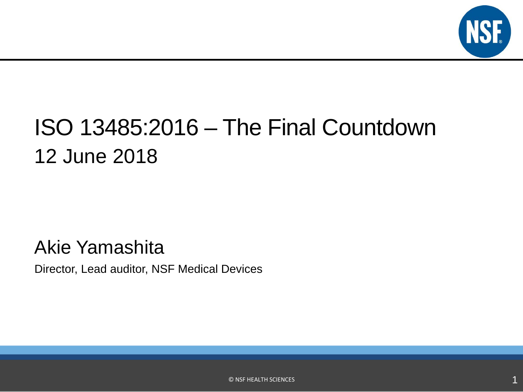

## ISO 13485:2016 – The Final Countdown 12 June 2018

### Akie Yamashita

Director, Lead auditor, NSF Medical Devices

© NSF HEALTH SCIENCES 1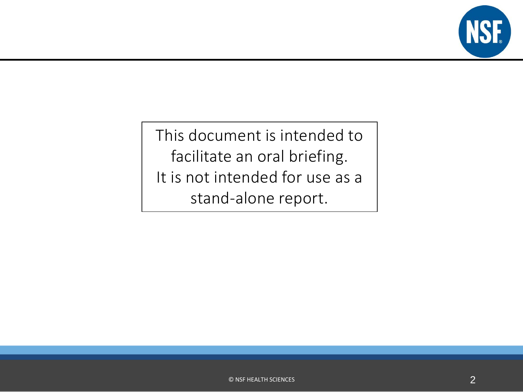

This document is intended to facilitate an oral briefing. It is not intended for use as a stand-alone report.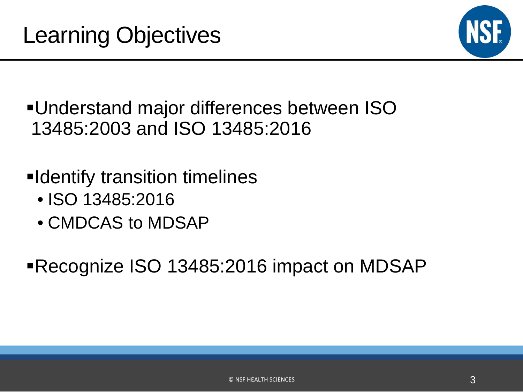

Understand major differences between ISO 13485:2003 and ISO 13485:2016

- **Eldentify transition timelines** 
	- ISO 13485:2016
	- CMDCAS to MDSAP

Recognize ISO 13485:2016 impact on MDSAP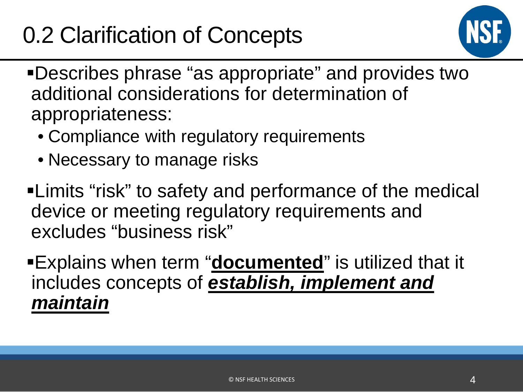# 0.2 Clarification of Concepts



- Describes phrase "as appropriate" and provides two additional considerations for determination of appropriateness:
	- Compliance with regulatory requirements
	- Necessary to manage risks
- Limits "risk" to safety and performance of the medical device or meeting regulatory requirements and excludes "business risk"
- Explains when term "**documented**" is utilized that it includes concepts of *establish, implement and maintain*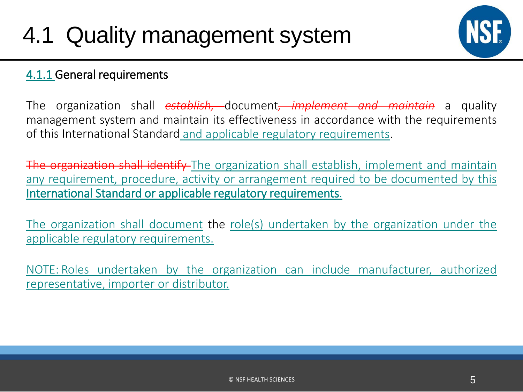

### 4.1.1 General requirements

The organization shall *establish,* document*, implement and maintain* a quality management system and maintain its effectiveness in accordance with the requirements of this International Standard and applicable regulatory requirements.

The organization shall identify The organization shall establish, implement and maintain any requirement, procedure, activity or arrangement required to be documented by this International Standard or applicable regulatory requirements.

The organization shall document the role(s) undertaken by the organization under the applicable regulatory requirements.

NOTE: Roles undertaken by the organization can include manufacturer, authorized representative, importer or distributor.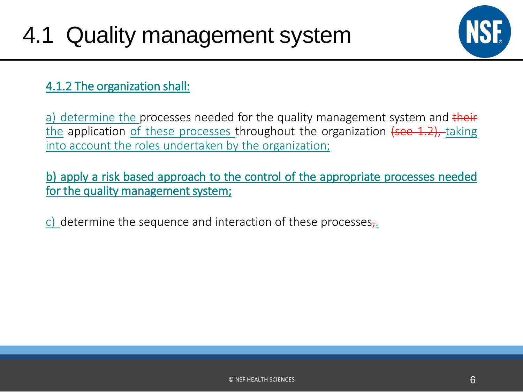

### 4.1.2 The organization shall:

a) determine the processes needed for the quality management system and their the application of these processes throughout the organization  $(see 1.2)$ , taking into account the roles undertaken by the organization;

b) apply a risk based approach to the control of the appropriate processes needed for the quality management system;

c) determine the sequence and interaction of these processes,.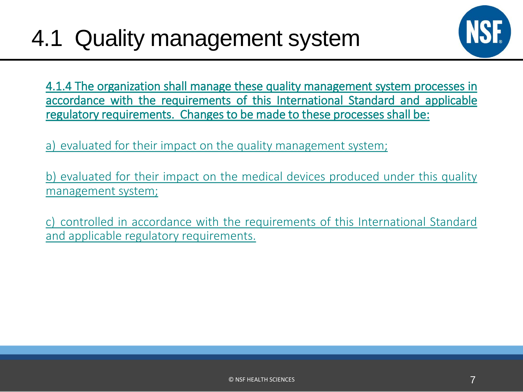

4.1.4 The organization shall manage these quality management system processes in accordance with the requirements of this International Standard and applicable regulatory requirements. Changes to be made to these processes shall be:

a) evaluated for their impact on the quality management system;

b) evaluated for their impact on the medical devices produced under this quality management system;

c) controlled in accordance with the requirements of this International Standard and applicable regulatory requirements.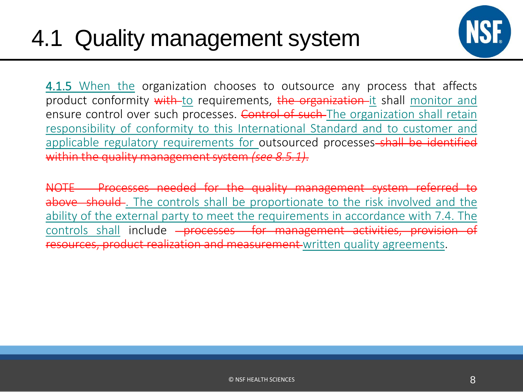

**4.1.5** When the organization chooses to outsource any process that affects product conformity with to requirements, the organization it shall monitor and ensure control over such processes. Control of such The organization shall retain responsibility of conformity to this International Standard and to customer and applicable regulatory requirements for outsourced processes-shall be identified within the quality managementsystem *(see 8.5.1)*.

NOTE Processes needed for the quality management system referred to above should. The controls shall be proportionate to the risk involved and the ability of the external party to meet the requirements in accordance with 7.4. The controls shall include <del>- processes for management activities, provision of</del> resources, product realization and measurement written quality agreements.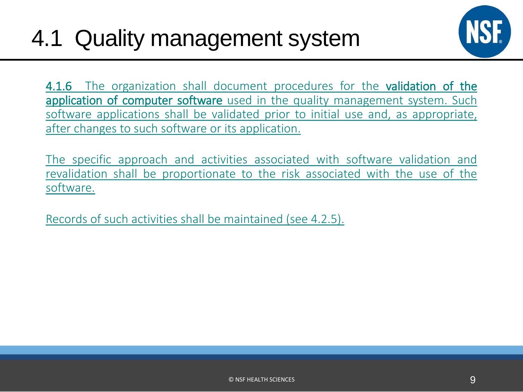

4.1.6 The organization shall document procedures for the validation of the application of computer software used in the quality management system. Such software applications shall be validated prior to initial use and, as appropriate, after changes to such software or its application.

The specific approach and activities associated with software validation and revalidation shall be proportionate to the risk associated with the use of the software.

Records of such activities shall be maintained (see 4.2.5).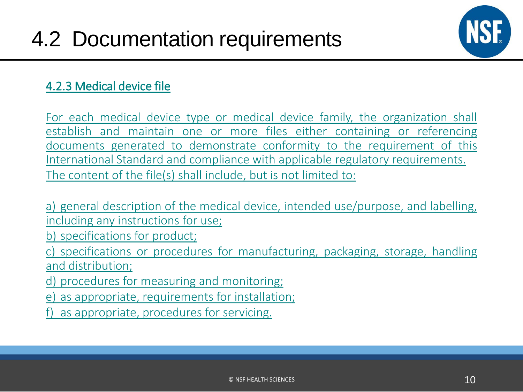

### 4.2.3 Medical device file

For each medical device type or medical device family, the organization shall establish and maintain one or more files either containing or referencing documents generated to demonstrate conformity to the requirement of this International Standard and compliance with applicable regulatory requirements. The content of the file(s) shall include, but is not limited to:

a) general description of the medical device, intended use/purpose, and labelling, including any instructions for use;

b) specifications for product;

c) specifications or procedures for manufacturing, packaging, storage, handling and distribution;

d) procedures for measuring and monitoring;

e) as appropriate, requirements for installation;

f) as appropriate, procedures for servicing.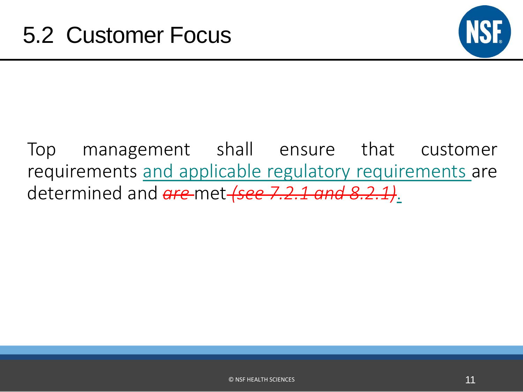

## Top management shall ensure that customer requirements and applicable regulatory requirements are determined and *are* met *(see 7.2.1 and 8.2.1)*.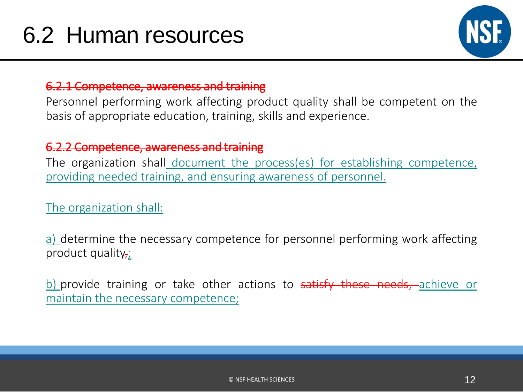

### 6.2.1 Competence, awareness and training

Personnel performing work affecting product quality shall be competent on the basis of appropriate education, training, skills and experience.

### 6.2.2 Competence, awareness and training

The organization shall document the process(es) for establishing competence, providing needed training, and ensuring awareness of personnel.

The organization shall:

a) determine the necessary competence for personnel performing work affecting product quality $\cdot$ ;

b) provide training or take other actions to satisfy these needs, achieve or maintain the necessary competence;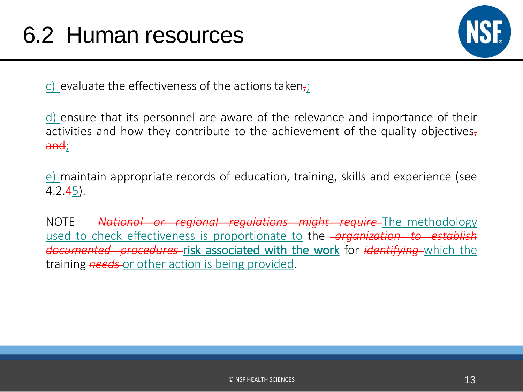

c) evaluate the effectiveness of the actions taken<sub>7</sub>;

d) ensure that its personnel are aware of the relevance and importance of their activities and how they contribute to the achievement of the quality objectives, a<del>nd</del>;

e) maintain appropriate records of education, training, skills and experience (see  $4.2.45$ ).

NOTE *National or regional regulations might require* The methodology used to check effectiveness is proportionate to the *organization to establish documented procedures* risk associated with the work for *identifying* which the training *needs* or other action is being provided.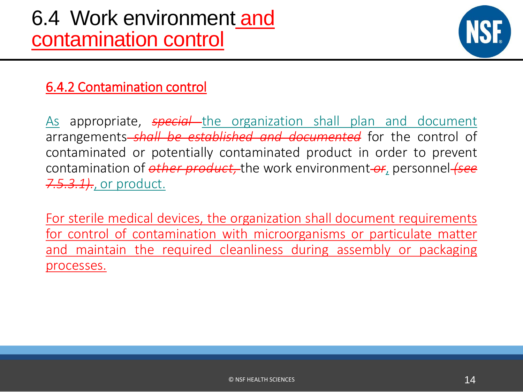

### 6.4.2 Contamination control

As appropriate, **special** the organization shall plan and document arrangements *shall be established and documented* for the control of contaminated or potentially contaminated product in order to prevent contamination of *other product,* the work environment *or*, personnel *(see 7.5.3.1).*, or product.

For sterile medical devices, the organization shall document requirements for control of contamination with microorganisms or particulate matter and maintain the required cleanliness during assembly or packaging processes.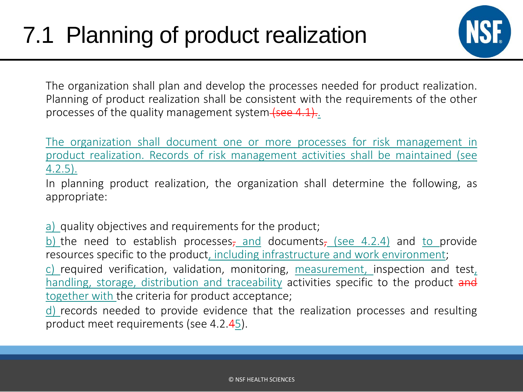

The organization shall plan and develop the processes needed for product realization. Planning of product realization shall be consistent with the requirements of the other processes of the quality management system (see 4.1).

The organization shall document one or more processes for risk management in product realization. Records of risk management activities shall be maintained (see 4.2.5).

In planning product realization, the organization shall determine the following, as appropriate:

a) quality objectives and requirements for the product;

b) the need to establish processes, and documents, (see 4.2.4) and to provide resources specific to the product, including infrastructure and work environment;

c) required verification, validation, monitoring, measurement, inspection and test, handling, storage, distribution and traceability activities specific to the product and together with the criteria for product acceptance;

d) records needed to provide evidence that the realization processes and resulting product meet requirements (see 4.2.45).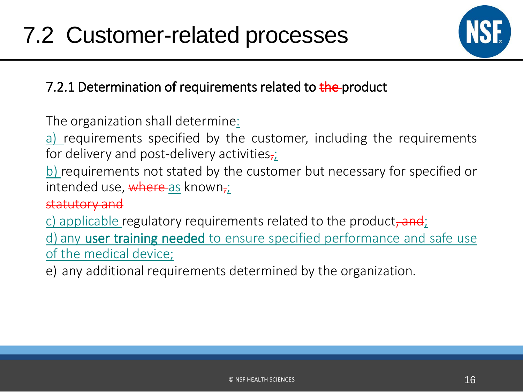

### 7.2.1 Determination of requirements related to the product

The organization shall determine:

a) requirements specified by the customer, including the requirements for delivery and post-delivery activities,

b) requirements not stated by the customer but necessary for specified or intended use, where as known,;

### statutory and

c) applicable regulatory requirements related to the product, and;

d) any user training needed to ensure specified performance and safe use of the medical device;

e) any additional requirements determined by the organization.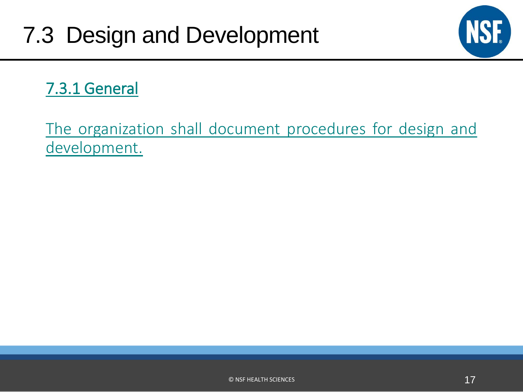

### 7.3.1 General

The organization shall document procedures for design and development.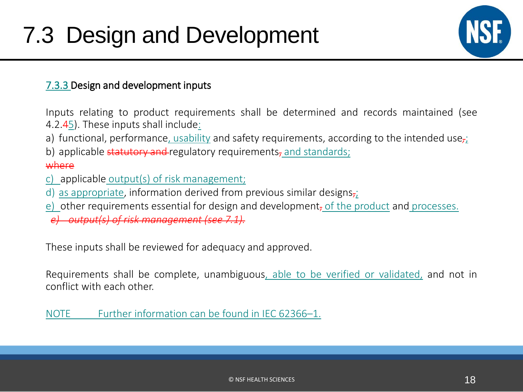

#### 7.3.3 Design and development inputs

Inputs relating to product requirements shall be determined and records maintained (see 4.2.45). These inputs shall include:

- a) functional, performance, usability and safety requirements, according to the intended use<sub>r</sub>;
- b) applicable statutory and regulatory requirements, and standards;

#### where

- c) applicable output(s) of risk management;
- d) as appropriate, information derived from previous similar designs $\pm$ ;
- e) other requirements essential for design and development, of the product and processes.
- *e) output(s) of risk management (see 7.1).*

These inputs shall be reviewed for adequacy and approved.

Requirements shall be complete, unambiguous, able to be verified or validated, and not in conflict with each other.

NOTE Further information can be found in IEC 62366–1.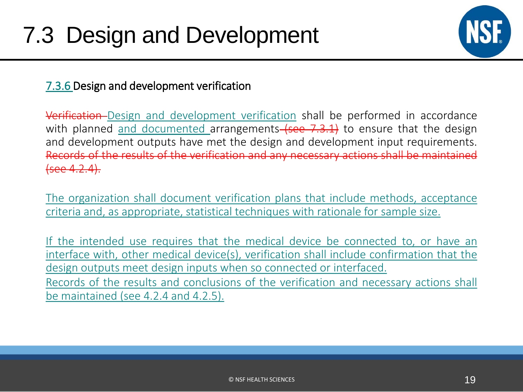

### 7.3.6 Design and development verification

Verification Design and development verification shall be performed in accordance with planned and documented arrangements  $(see 7.3.1)$  to ensure that the design and development outputs have met the design and development input requirements. Records of the results of the verification and any necessary actions shall be maintained (see 4.2.4).

The organization shall document verification plans that include methods, acceptance criteria and, as appropriate, statistical techniques with rationale for sample size.

If the intended use requires that the medical device be connected to, or have an interface with, other medical device(s), verification shall include confirmation that the design outputs meet design inputs when so connected or interfaced. Records of the results and conclusions of the verification and necessary actions shall be maintained (see 4.2.4 and 4.2.5).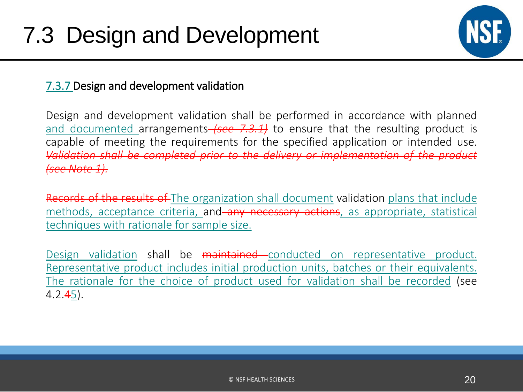

### 7.3.7 Design and development validation

Design and development validation shall be performed in accordance with planned and documented arrangements *(see 7.3.1)* to ensure that the resulting product is capable of meeting the requirements for the specified application or intended use. *Validation shall be completed prior to the delivery or implementation of the product (see Note 1).*

Records of the results of The organization shall document validation plans that include methods, acceptance criteria, and any necessary actions, as appropriate, statistical techniques with rationale for sample size.

Design validation shall be maintained conducted on representative product. Representative product includes initial production units, batches or their equivalents. The rationale for the choice of product used for validation shall be recorded (see  $4.2.45$ ).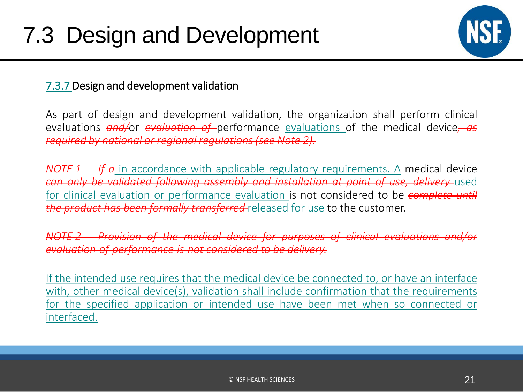

### 7.3.7 Design and development validation

As part of design and development validation, the organization shall perform clinical evaluations *and/*or *evaluation of* performance evaluations of the medical device*, as required by national or regional regulations(see Note 2).*

*NOTE 1 If a* in accordance with applicable regulatory requirements. A medical device *can only be validated following assembly and installation at point of use, delivery* used for clinical evaluation or performance evaluation is not considered to be *complete until the product has been formally transferred* released for use to the customer.

*NOTE 2 Provision of the medical device for purposes of clinical evaluations and/or evaluation of performance is not considered to be delivery.*

If the intended use requires that the medical device be connected to, or have an interface with, other medical device(s), validation shall include confirmation that the requirements for the specified application or intended use have been met when so connected or interfaced.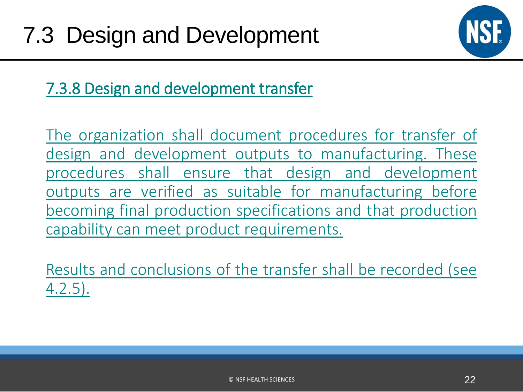

7.3.8 Design and development transfer

The organization shall document procedures for transfer of design and development outputs to manufacturing. These procedures shall ensure that design and development outputs are verified as suitable for manufacturing before becoming final production specifications and that production capability can meet product requirements.

Results and conclusions of the transfer shall be recorded (see 4.2.5).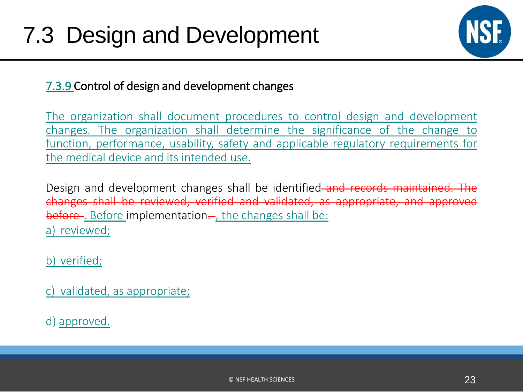

### 7.3.9 Control of design and development changes

The organization shall document procedures to control design and development changes. The organization shall determine the significance of the change to function, performance, usability, safety and applicable regulatory requirements for the medical device and its intended use.

Design and development changes shall be identified and records maintained. The changes shall be reviewed, verified and validated, as appropriate, and approved before. Before implementation..., the changes shall be: a) reviewed;

b) verified;

c) validated, as appropriate;

d) approved.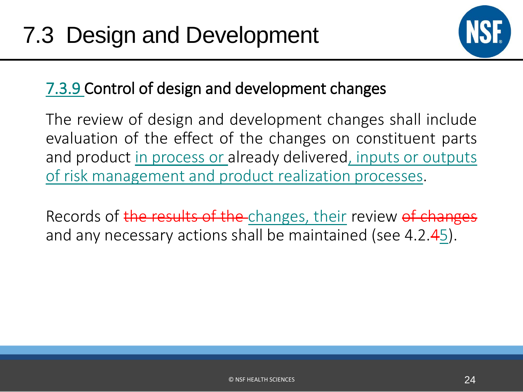

### 7.3.9 Control of design and development changes

The review of design and development changes shall include evaluation of the effect of the changes on constituent parts and product in process or already delivered, inputs or outputs of risk management and product realization processes.

Records of the results of the changes, their review of changes and any necessary actions shall be maintained (see 4.2.45).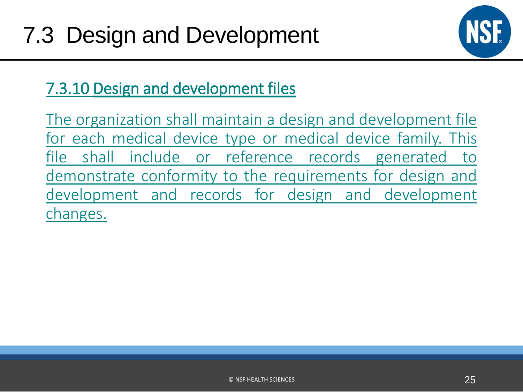

### 7.3.10 Design and development files

The organization shall maintain a design and development file for each medical device type or medical device family. This file shall include or reference records generated to demonstrate conformity to the requirements for design and development and records for design and development changes.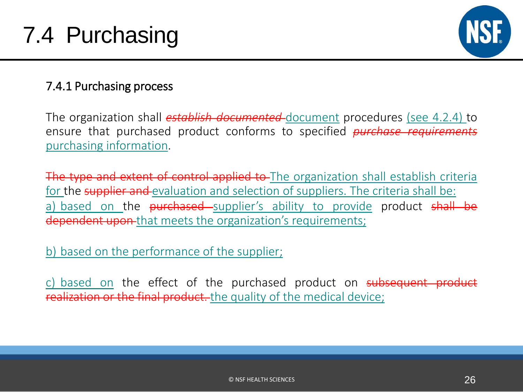

### 7.4.1 Purchasing process

The organization shall *establish documented* document procedures (see 4.2.4) to ensure that purchased product conforms to specified *purchase requirements* purchasing information.

The type and extent of control applied to The organization shall establish criteria for the supplier and evaluation and selection of suppliers. The criteria shall be: a) based on the **purchased** supplier's ability to provide product shall be dependent upon-that meets the organization's requirements;

b) based on the performance of the supplier;

c) based on the effect of the purchased product on subsequent product realization or the final product. the quality of the medical device;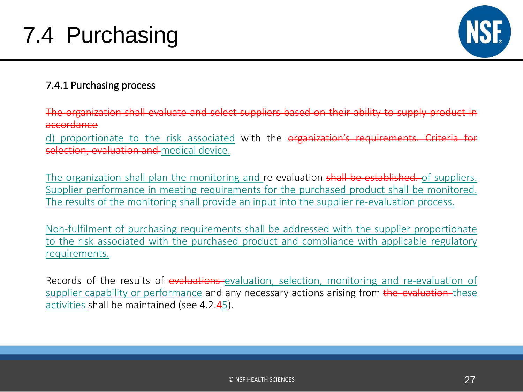

### 7.4.1 Purchasing process

The organization shall evaluate and select suppliers based on their ability to supply product in accordance

d) proportionate to the risk associated with the organization's requirements. Criteria for selection, evaluation and medical device.

The organization shall plan the monitoring and re-evaluation shall be established. of suppliers. Supplier performance in meeting requirements for the purchased product shall be monitored. The results of the monitoring shall provide an input into the supplier re-evaluation process.

Non-fulfilment of purchasing requirements shall be addressed with the supplier proportionate to the risk associated with the purchased product and compliance with applicable regulatory requirements.

Records of the results of evaluations-evaluation, selection, monitoring and re-evaluation of supplier capability or performance and any necessary actions arising from the evaluation-these activities shall be maintained (see 4.2.45).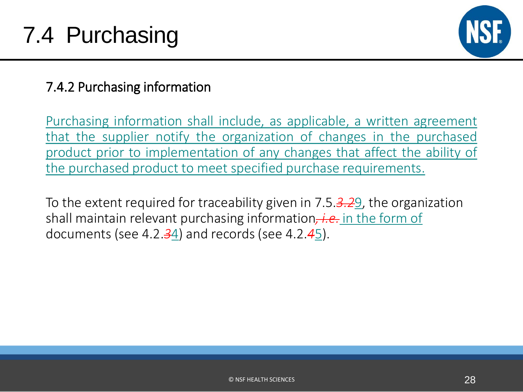

### 7.4.2 Purchasing information

Purchasing information shall include, as applicable, a written agreement that the supplier notify the organization of changes in the purchased product prior to implementation of any changes that affect the ability of the purchased product to meet specified purchase requirements.

To the extent required for traceability given in 7.5.*3.2*9, the organization shall maintain relevant purchasing information*, i.e.* in the form of documents (see 4.2.*3*4) and records (see 4.2.*4*5).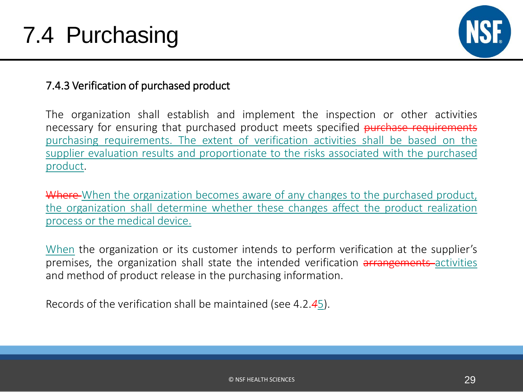

### 7.4.3 Verification of purchased product

The organization shall establish and implement the inspection or other activities necessary for ensuring that purchased product meets specified purchase requirements purchasing requirements. The extent of verification activities shall be based on the supplier evaluation results and proportionate to the risks associated with the purchased product.

Where-When the organization becomes aware of any changes to the purchased product, the organization shall determine whether these changes affect the product realization process or the medical device.

When the organization or its customer intends to perform verification at the supplier's premises, the organization shall state the intended verification arrangements activities and method of product release in the purchasing information.

Records of the verification shall be maintained (see 4.2.*4*5).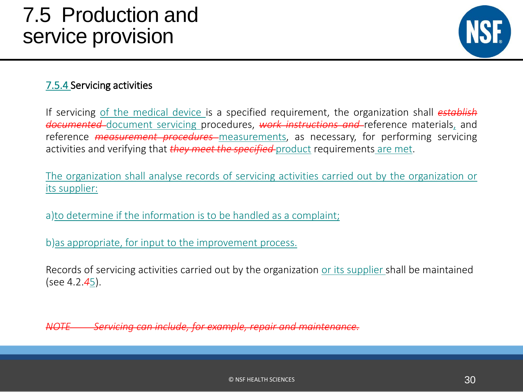## 7.5 Production and service provision



#### 7.5.4 Servicing activities

If servicing of the medical device is a specified requirement, the organization shall *establish documented* document servicing procedures, *work instructions and* reference materials, and reference *measurement procedures* measurements, as necessary, for performing servicing activities and verifying that *they meet the specified* product requirements are met.

The organization shall analyse records of servicing activities carried out by the organization or its supplier:

a)to determine if the information is to be handled as a complaint;

b)as appropriate, for input to the improvement process.

Records of servicing activities carried out by the organization or its supplier shall be maintained (see 4.2.*4*5).

*NOTE Servicing can include, for example, repair and maintenance.*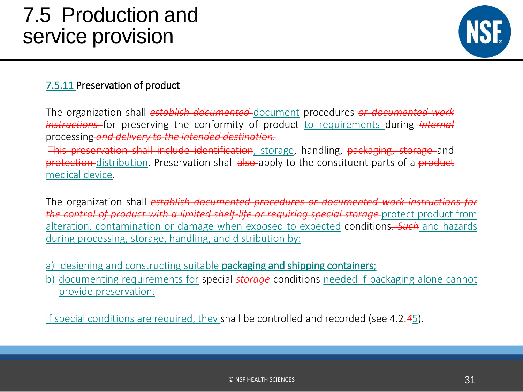## 7.5 Production and service provision



#### 7.5.11 Preservation of product

The organization shall *establish documented* document procedures *or documented work instructions* for preserving the conformity of product to requirements during *internal* processing *and delivery to the intended destination.*

This preservation shall include identification, storage, handling, packaging, storage and protection-distribution. Preservation shall also-apply to the constituent parts of a product medical device.

The organization shall *establish documented procedures or documented work instructions for the control of product with a limited shelf-life or requiring special storage* protect product from alteration, contamination or damage when exposed to expected conditions*. Such* and hazards during processing, storage, handling, and distribution by:

- a) designing and constructing suitable **packaging and shipping containers**;
- b) documenting requirements for special *storage* conditions needed if packaging alone cannot provide preservation.

If special conditions are required, they shall be controlled and recorded (see 4.2.*4*5).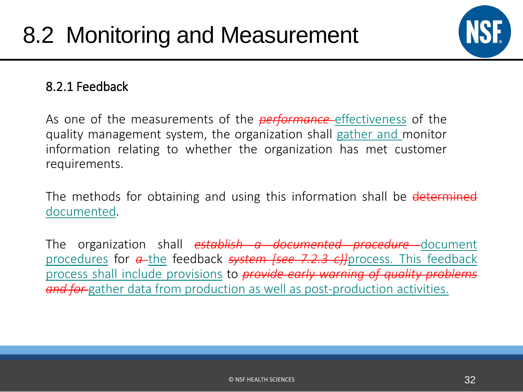

### 8.2.1 Feedback

As one of the measurements of the *performance* effectiveness of the quality management system, the organization shall gather and monitor information relating to whether the organization has met customer requirements.

The methods for obtaining and using this information shall be determined documented.

The organization shall *establish a documented procedure* document procedures for *a* the feedback *system [see 7.2.3 c)]*process. This feedback process shall include provisions to *provide early warning of quality problems and for* gather data from production as well as post-production activities.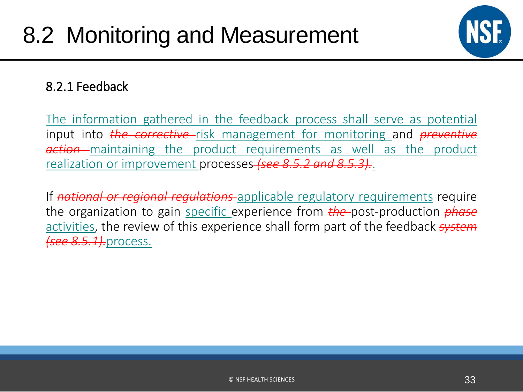

### 8.2.1 Feedback

The information gathered in the feedback process shall serve as potential input into **the corrective**-risk management for monitoring and *preventive action* maintaining the product requirements as well as the product realization or improvement processes *(see 8.5.2 and 8.5.3).*.

If *national or regional regulations* applicable regulatory requirements require the organization to gain specific experience from *the* post-production *phase* activities, the review of this experience shall form part of the feedback *system (see 8.5.1).*process.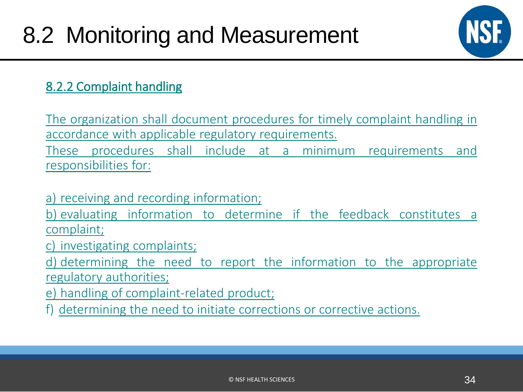

### 8.2.2 Complaint handling

The organization shall document procedures for timely complaint handling in accordance with applicable regulatory requirements.

These procedures shall include at a minimum requirements and responsibilities for:

a) receiving and recording information;

b) evaluating information to determine if the feedback constitutes a complaint;

c) investigating complaints;

d) determining the need to report the information to the appropriate regulatory authorities;

e) handling of complaint-related product;

f) determining the need to initiate corrections or corrective actions.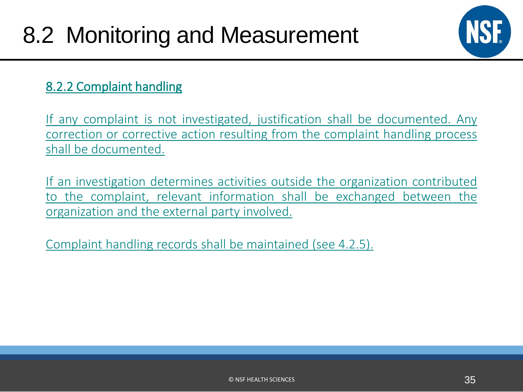

### 8.2.2 Complaint handling

If any complaint is not investigated, justification shall be documented. Any correction or corrective action resulting from the complaint handling process shall be documented.

If an investigation determines activities outside the organization contributed to the complaint, relevant information shall be exchanged between the organization and the external party involved.

Complaint handling records shall be maintained (see 4.2.5).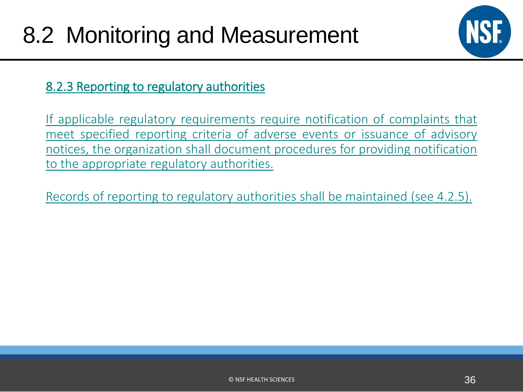

### 8.2.3 Reporting to regulatory authorities

If applicable regulatory requirements require notification of complaints that meet specified reporting criteria of adverse events or issuance of advisory notices, the organization shall document procedures for providing notification to the appropriate regulatory authorities.

Records of reporting to regulatory authorities shall be maintained (see 4.2.5).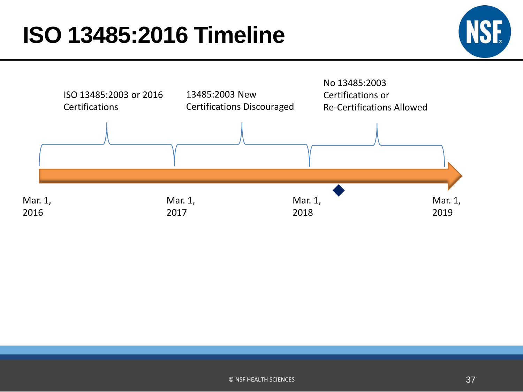# **ISO 13485:2016 Timeline**



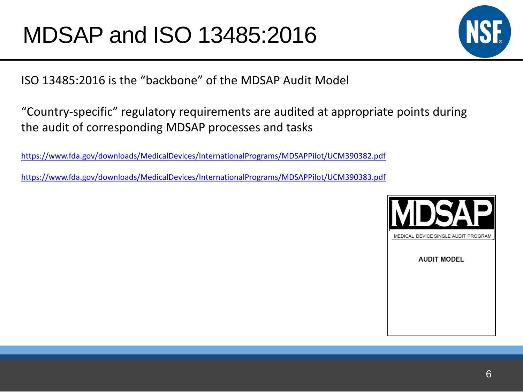

ISO 13485:2016 is the "backbone" of the MDSAP Audit Model

"Country-specific" regulatory requirements are audited at appropriate points during the audit of corresponding MDSAP processes and tasks

<https://www.fda.gov/downloads/MedicalDevices/InternationalPrograms/MDSAPPilot/UCM390382.pdf>

<https://www.fda.gov/downloads/MedicalDevices/InternationalPrograms/MDSAPPilot/UCM390383.pdf>

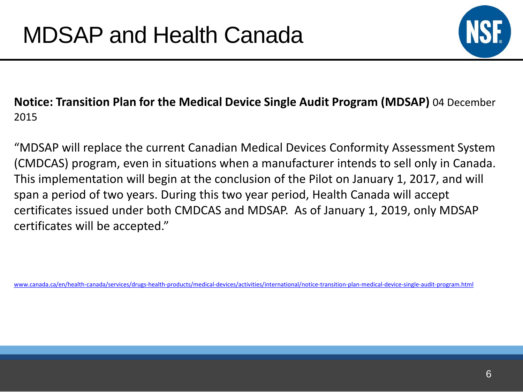

### **Notice: Transition Plan for the Medical Device Single Audit Program (MDSAP)** 04 December 2015

"MDSAP will replace the current Canadian Medical Devices Conformity Assessment System (CMDCAS) program, even in situations when a manufacturer intends to sell only in Canada. This implementation will begin at the conclusion of the Pilot on January 1, 2017, and will span a period of two years. During this two year period, Health Canada will accept certificates issued under both CMDCAS and MDSAP. As of January 1, 2019, only MDSAP certificates will be accepted."

[www.canada.ca/en/health-canada/services/drugs-health-products/medical-devices/activities/international/notice-transition-plan-medical-device-single-audit-program.html](http://www.canada.ca/en/health-canada/services/drugs-health-products/medical-devices/activities/international/notice-transition-plan-medical-device-single-audit-program.html)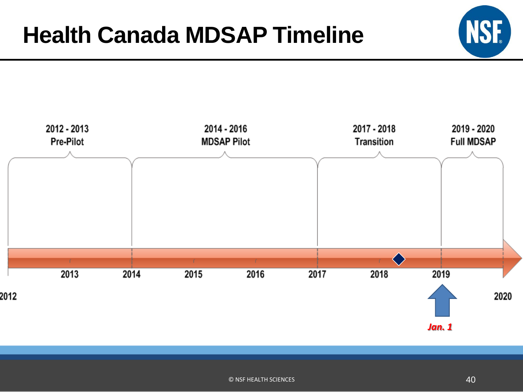